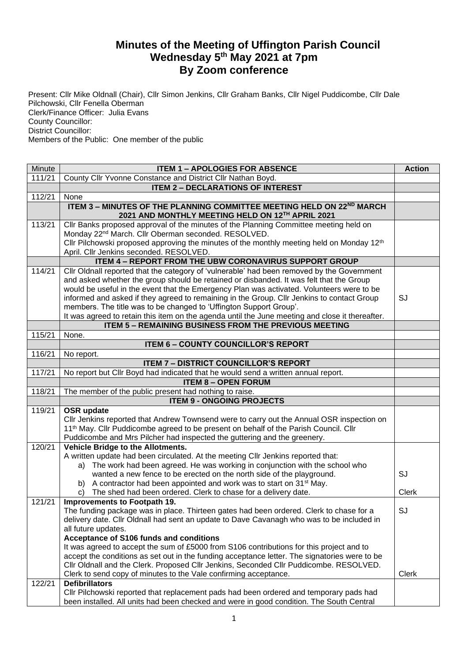## **Minutes of the Meeting of Uffington Parish Council Wednesday 5th May 2021 at 7pm By Zoom conference**

Present: Cllr Mike Oldnall (Chair), Cllr Simon Jenkins, Cllr Graham Banks, Cllr Nigel Puddicombe, Cllr Dale Pilchowski, Cllr Fenella Oberman Clerk/Finance Officer: Julia Evans County Councillor: District Councillor: Members of the Public: One member of the public

| Minute | <b>ITEM 1 - APOLOGIES FOR ABSENCE</b>                                                                                                                                                   | <b>Action</b> |
|--------|-----------------------------------------------------------------------------------------------------------------------------------------------------------------------------------------|---------------|
| 111/21 | County Cllr Yvonne Constance and District Cllr Nathan Boyd.                                                                                                                             |               |
|        | <b>ITEM 2 - DECLARATIONS OF INTEREST</b>                                                                                                                                                |               |
| 112/21 | None                                                                                                                                                                                    |               |
|        | ITEM 3 - MINUTES OF THE PLANNING COMMITTEE MEETING HELD ON 22ND MARCH<br>2021 AND MONTHLY MEETING HELD ON 12TH APRIL 2021                                                               |               |
| 113/21 | CIIr Banks proposed approval of the minutes of the Planning Committee meeting held on<br>Monday 22 <sup>nd</sup> March. Cllr Oberman seconded. RESOLVED.                                |               |
|        | Cllr Pilchowski proposed approving the minutes of the monthly meeting held on Monday 12 <sup>th</sup><br>April. Cllr Jenkins seconded. RESOLVED.                                        |               |
|        | <b>ITEM 4 - REPORT FROM THE UBW CORONAVIRUS SUPPORT GROUP</b>                                                                                                                           |               |
| 114/21 | Cllr Oldnall reported that the category of 'vulnerable' had been removed by the Government                                                                                              |               |
|        | and asked whether the group should be retained or disbanded. It was felt that the Group                                                                                                 |               |
|        | would be useful in the event that the Emergency Plan was activated. Volunteers were to be                                                                                               |               |
|        | informed and asked if they agreed to remaining in the Group. Cllr Jenkins to contact Group                                                                                              | SJ            |
|        | members. The title was to be changed to 'Uffington Support Group'.                                                                                                                      |               |
|        | It was agreed to retain this item on the agenda until the June meeting and close it thereafter.                                                                                         |               |
|        | <b>ITEM 5 - REMAINING BUSINESS FROM THE PREVIOUS MEETING</b>                                                                                                                            |               |
| 115/21 | None.                                                                                                                                                                                   |               |
|        | <b>ITEM 6 - COUNTY COUNCILLOR'S REPORT</b>                                                                                                                                              |               |
| 116/21 | No report.                                                                                                                                                                              |               |
|        | <b>ITEM 7 - DISTRICT COUNCILLOR'S REPORT</b>                                                                                                                                            |               |
| 117/21 | No report but Cllr Boyd had indicated that he would send a written annual report.                                                                                                       |               |
|        | <b>ITEM 8 - OPEN FORUM</b>                                                                                                                                                              |               |
| 118/21 | The member of the public present had nothing to raise.<br><b>ITEM 9 - ONGOING PROJECTS</b>                                                                                              |               |
| 119/21 | <b>OSR</b> update                                                                                                                                                                       |               |
|        | Cllr Jenkins reported that Andrew Townsend were to carry out the Annual OSR inspection on                                                                                               |               |
|        | 11 <sup>th</sup> May. Cllr Puddicombe agreed to be present on behalf of the Parish Council. Cllr                                                                                        |               |
|        | Puddicombe and Mrs Pilcher had inspected the guttering and the greenery.                                                                                                                |               |
| 120/21 | Vehicle Bridge to the Allotments.                                                                                                                                                       |               |
|        | A written update had been circulated. At the meeting Cllr Jenkins reported that:                                                                                                        |               |
|        | The work had been agreed. He was working in conjunction with the school who<br>a)                                                                                                       |               |
|        | wanted a new fence to be erected on the north side of the playground.                                                                                                                   | SJ            |
|        | b) A contractor had been appointed and work was to start on 31 <sup>st</sup> May.                                                                                                       |               |
|        | The shed had been ordered. Clerk to chase for a delivery date.<br>C)                                                                                                                    | <b>Clerk</b>  |
| 121/21 | Improvements to Footpath 19.                                                                                                                                                            |               |
|        | The funding package was in place. Thirteen gates had been ordered. Clerk to chase for a                                                                                                 | SJ            |
|        | delivery date. Cllr Oldnall had sent an update to Dave Cavanagh who was to be included in                                                                                               |               |
|        | all future updates.                                                                                                                                                                     |               |
|        | Acceptance of S106 funds and conditions                                                                                                                                                 |               |
|        | It was agreed to accept the sum of £5000 from S106 contributions for this project and to                                                                                                |               |
|        | accept the conditions as set out in the funding acceptance letter. The signatories were to be<br>Cllr Oldnall and the Clerk. Proposed Cllr Jenkins, Seconded Cllr Puddicombe. RESOLVED. |               |
|        | Clerk to send copy of minutes to the Vale confirming acceptance.                                                                                                                        | Clerk         |
| 122/21 | <b>Defibrillators</b>                                                                                                                                                                   |               |
|        | Cllr Pilchowski reported that replacement pads had been ordered and temporary pads had                                                                                                  |               |
|        | been installed. All units had been checked and were in good condition. The South Central                                                                                                |               |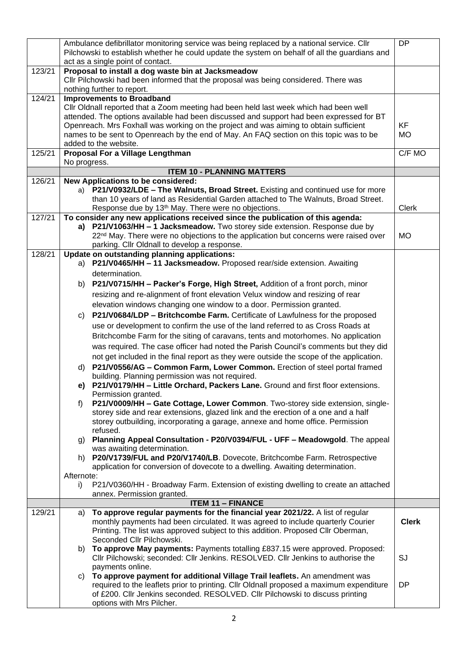|        | Ambulance defibrillator monitoring service was being replaced by a national service. Cllr<br>Pilchowski to establish whether he could update the system on behalf of all the guardians and<br>act as a single point of contact. | <b>DP</b>              |  |  |  |  |
|--------|---------------------------------------------------------------------------------------------------------------------------------------------------------------------------------------------------------------------------------|------------------------|--|--|--|--|
| 123/21 | Proposal to install a dog waste bin at Jacksmeadow<br>Cllr Pilchowski had been informed that the proposal was being considered. There was<br>nothing further to report.                                                         |                        |  |  |  |  |
| 124/21 | <b>Improvements to Broadband</b>                                                                                                                                                                                                |                        |  |  |  |  |
|        | Cllr Oldnall reported that a Zoom meeting had been held last week which had been well                                                                                                                                           |                        |  |  |  |  |
|        | attended. The options available had been discussed and support had been expressed for BT                                                                                                                                        |                        |  |  |  |  |
|        | Openreach. Mrs Foxhall was working on the project and was aiming to obtain sufficient                                                                                                                                           | <b>KF</b><br><b>MO</b> |  |  |  |  |
|        | names to be sent to Openreach by the end of May. An FAQ section on this topic was to be                                                                                                                                         |                        |  |  |  |  |
| 125/21 | added to the website.                                                                                                                                                                                                           |                        |  |  |  |  |
|        | Proposal For a Village Lengthman<br>No progress.                                                                                                                                                                                | C/F MO                 |  |  |  |  |
|        | <b>ITEM 10 - PLANNING MATTERS</b>                                                                                                                                                                                               |                        |  |  |  |  |
| 126/21 | New Applications to be considered:                                                                                                                                                                                              |                        |  |  |  |  |
|        | <b>P21/V0932/LDE - The Walnuts, Broad Street.</b> Existing and continued use for more<br>a)                                                                                                                                     |                        |  |  |  |  |
|        | than 10 years of land as Residential Garden attached to The Walnuts, Broad Street.                                                                                                                                              |                        |  |  |  |  |
|        | Response due by 13 <sup>th</sup> May. There were no objections.                                                                                                                                                                 | Clerk                  |  |  |  |  |
| 127/21 | To consider any new applications received since the publication of this agenda:                                                                                                                                                 |                        |  |  |  |  |
|        | P21/V1063/HH - 1 Jacksmeadow. Two storey side extension. Response due by<br>a)<br>22 <sup>nd</sup> May. There were no objections to the application but concerns were raised over                                               | <b>MO</b>              |  |  |  |  |
|        | parking. Cllr Oldnall to develop a response.                                                                                                                                                                                    |                        |  |  |  |  |
| 128/21 | Update on outstanding planning applications:                                                                                                                                                                                    |                        |  |  |  |  |
|        | a) P21/V0465/HH - 11 Jacksmeadow. Proposed rear/side extension. Awaiting                                                                                                                                                        |                        |  |  |  |  |
|        | determination.                                                                                                                                                                                                                  |                        |  |  |  |  |
|        | P21/V0715/HH - Packer's Forge, High Street, Addition of a front porch, minor<br>b)                                                                                                                                              |                        |  |  |  |  |
|        | resizing and re-alignment of front elevation Velux window and resizing of rear                                                                                                                                                  |                        |  |  |  |  |
|        | elevation windows changing one window to a door. Permission granted.                                                                                                                                                            |                        |  |  |  |  |
|        | P21/V0684/LDP - Britchcombe Farm. Certificate of Lawfulness for the proposed<br>C)                                                                                                                                              |                        |  |  |  |  |
|        | use or development to confirm the use of the land referred to as Cross Roads at                                                                                                                                                 |                        |  |  |  |  |
|        | Britchcombe Farm for the siting of caravans, tents and motorhomes. No application                                                                                                                                               |                        |  |  |  |  |
|        | was required. The case officer had noted the Parish Council's comments but they did                                                                                                                                             |                        |  |  |  |  |
|        | not get included in the final report as they were outside the scope of the application.                                                                                                                                         |                        |  |  |  |  |
|        | P21/V0556/AG - Common Farm, Lower Common. Erection of steel portal framed<br>d)                                                                                                                                                 |                        |  |  |  |  |
|        | building. Planning permission was not required.                                                                                                                                                                                 |                        |  |  |  |  |
|        | e) P21/V0179/HH - Little Orchard, Packers Lane. Ground and first floor extensions.                                                                                                                                              |                        |  |  |  |  |
|        | Permission granted.                                                                                                                                                                                                             |                        |  |  |  |  |
|        | P21/V0009/HH - Gate Cottage, Lower Common. Two-storey side extension, single-<br>f<br>storey side and rear extensions, glazed link and the erection of a one and a half                                                         |                        |  |  |  |  |
|        | storey outbuilding, incorporating a garage, annexe and home office. Permission                                                                                                                                                  |                        |  |  |  |  |
|        | refused.                                                                                                                                                                                                                        |                        |  |  |  |  |
|        | Planning Appeal Consultation - P20/V0394/FUL - UFF - Meadowgold. The appeal<br>g)                                                                                                                                               |                        |  |  |  |  |
|        | was awaiting determination.                                                                                                                                                                                                     |                        |  |  |  |  |
|        | h) P20/V1739/FUL and P20/V1740/LB. Dovecote, Britchcombe Farm. Retrospective                                                                                                                                                    |                        |  |  |  |  |
|        | application for conversion of dovecote to a dwelling. Awaiting determination.<br>Afternote:                                                                                                                                     |                        |  |  |  |  |
|        | P21/V0360/HH - Broadway Farm. Extension of existing dwelling to create an attached<br>i)                                                                                                                                        |                        |  |  |  |  |
|        | annex. Permission granted.                                                                                                                                                                                                      |                        |  |  |  |  |
|        | <b>ITEM 11 - FINANCE</b>                                                                                                                                                                                                        |                        |  |  |  |  |
| 129/21 | To approve regular payments for the financial year 2021/22. A list of regular<br>a)                                                                                                                                             |                        |  |  |  |  |
|        | monthly payments had been circulated. It was agreed to include quarterly Courier                                                                                                                                                | <b>Clerk</b>           |  |  |  |  |
|        | Printing. The list was approved subject to this addition. Proposed Cllr Oberman,                                                                                                                                                |                        |  |  |  |  |
|        | Seconded Cllr Pilchowski.<br>To approve May payments: Payments totalling £837.15 were approved. Proposed:                                                                                                                       |                        |  |  |  |  |
|        | b)<br>Cllr Pilchowski; seconded: Cllr Jenkins. RESOLVED. Cllr Jenkins to authorise the                                                                                                                                          | SJ                     |  |  |  |  |
|        | payments online.                                                                                                                                                                                                                |                        |  |  |  |  |
|        | To approve payment for additional Village Trail leaflets. An amendment was<br>C)                                                                                                                                                |                        |  |  |  |  |
|        | required to the leaflets prior to printing. Cllr Oldnall proposed a maximum expenditure                                                                                                                                         | DP                     |  |  |  |  |
|        | of £200. Cllr Jenkins seconded. RESOLVED. Cllr Pilchowski to discuss printing                                                                                                                                                   |                        |  |  |  |  |
|        | options with Mrs Pilcher.                                                                                                                                                                                                       |                        |  |  |  |  |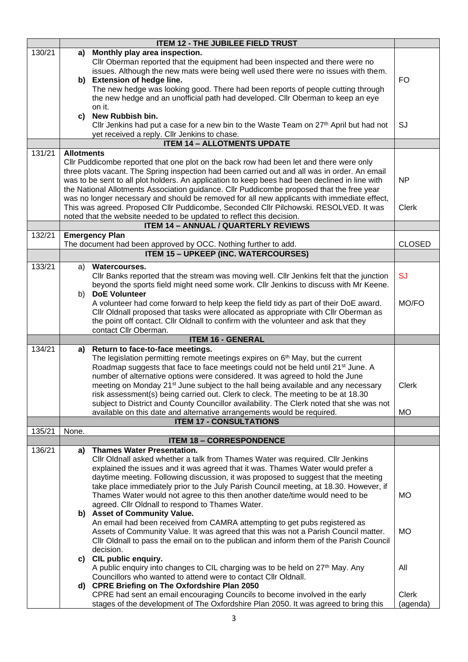|        |                                                                                           | <b>ITEM 12 - THE JUBILEE FIELD TRUST</b>                                                                   |               |  |  |
|--------|-------------------------------------------------------------------------------------------|------------------------------------------------------------------------------------------------------------|---------------|--|--|
| 130/21 | a)                                                                                        | Monthly play area inspection.                                                                              |               |  |  |
|        |                                                                                           | Cllr Oberman reported that the equipment had been inspected and there were no                              |               |  |  |
|        |                                                                                           | issues. Although the new mats were being well used there were no issues with them.                         |               |  |  |
|        | b)                                                                                        | <b>Extension of hedge line.</b>                                                                            | <b>FO</b>     |  |  |
|        |                                                                                           | The new hedge was looking good. There had been reports of people cutting through                           |               |  |  |
|        |                                                                                           | the new hedge and an unofficial path had developed. Cllr Oberman to keep an eye                            |               |  |  |
|        |                                                                                           | on it.                                                                                                     |               |  |  |
|        |                                                                                           | c) New Rubbish bin.                                                                                        |               |  |  |
|        |                                                                                           | Cllr Jenkins had put a case for a new bin to the Waste Team on 27 <sup>th</sup> April but had not          | SJ            |  |  |
|        |                                                                                           | yet received a reply. Cllr Jenkins to chase.                                                               |               |  |  |
|        |                                                                                           | <b>ITEM 14 - ALLOTMENTS UPDATE</b>                                                                         |               |  |  |
| 131/21 | <b>Allotments</b>                                                                         |                                                                                                            |               |  |  |
|        |                                                                                           | CIIr Puddicombe reported that one plot on the back row had been let and there were only                    |               |  |  |
|        |                                                                                           | three plots vacant. The Spring inspection had been carried out and all was in order. An email              |               |  |  |
|        |                                                                                           | was to be sent to all plot holders. An application to keep bees had been declined in line with             | NP            |  |  |
|        | the National Allotments Association guidance. Cllr Puddicombe proposed that the free year |                                                                                                            |               |  |  |
|        |                                                                                           | was no longer necessary and should be removed for all new applicants with immediate effect,                |               |  |  |
|        |                                                                                           | This was agreed. Proposed Cllr Puddicombe, Seconded Cllr Pilchowski. RESOLVED. It was                      | <b>Clerk</b>  |  |  |
|        |                                                                                           | noted that the website needed to be updated to reflect this decision.                                      |               |  |  |
|        |                                                                                           | <b>ITEM 14 - ANNUAL / QUARTERLY REVIEWS</b>                                                                |               |  |  |
| 132/21 |                                                                                           | <b>Emergency Plan</b>                                                                                      |               |  |  |
|        |                                                                                           | The document had been approved by OCC. Nothing further to add.                                             | <b>CLOSED</b> |  |  |
|        |                                                                                           | <b>ITEM 15 - UPKEEP (INC. WATERCOURSES)</b>                                                                |               |  |  |
| 133/21 | a)                                                                                        | <b>Watercourses.</b>                                                                                       |               |  |  |
|        |                                                                                           | CIIr Banks reported that the stream was moving well. CIIr Jenkins felt that the junction                   | <b>SJ</b>     |  |  |
|        |                                                                                           | beyond the sports field might need some work. Cllr Jenkins to discuss with Mr Keene.                       |               |  |  |
|        |                                                                                           | b) DoE Volunteer                                                                                           |               |  |  |
|        |                                                                                           | A volunteer had come forward to help keep the field tidy as part of their DoE award.                       | MO/FO         |  |  |
|        |                                                                                           | Cllr Oldnall proposed that tasks were allocated as appropriate with Cllr Oberman as                        |               |  |  |
|        |                                                                                           | the point off contact. Cllr Oldnall to confirm with the volunteer and ask that they                        |               |  |  |
|        |                                                                                           | contact Cllr Oberman.                                                                                      |               |  |  |
| 134/21 |                                                                                           | <b>ITEM 16 - GENERAL</b><br>Return to face-to-face meetings.                                               |               |  |  |
|        | a)                                                                                        | The legislation permitting remote meetings expires on 6 <sup>th</sup> May, but the current                 |               |  |  |
|        |                                                                                           | Roadmap suggests that face to face meetings could not be held until 21 <sup>st</sup> June. A               |               |  |  |
|        |                                                                                           | number of alternative options were considered. It was agreed to hold the June                              |               |  |  |
|        |                                                                                           | meeting on Monday 21 <sup>st</sup> June subject to the hall being available and any necessary              | Clerk         |  |  |
|        |                                                                                           | risk assessment(s) being carried out. Clerk to cleck. The meeting to be at 18.30                           |               |  |  |
|        |                                                                                           | subject to District and County Councillor availability. The Clerk noted that she was not                   |               |  |  |
|        |                                                                                           | available on this date and alternative arrangements would be required.                                     | <b>MO</b>     |  |  |
|        |                                                                                           | <b>ITEM 17 - CONSULTATIONS</b>                                                                             |               |  |  |
| 135/21 | None.                                                                                     |                                                                                                            |               |  |  |
|        |                                                                                           | <b>ITEM 18 - CORRESPONDENCE</b>                                                                            |               |  |  |
| 136/21 | a)                                                                                        | <b>Thames Water Presentation.</b>                                                                          |               |  |  |
|        |                                                                                           | CIIr Oldnall asked whether a talk from Thames Water was required. CIIr Jenkins                             |               |  |  |
|        |                                                                                           | explained the issues and it was agreed that it was. Thames Water would prefer a                            |               |  |  |
|        |                                                                                           | daytime meeting. Following discussion, it was proposed to suggest that the meeting                         |               |  |  |
|        |                                                                                           | take place immediately prior to the July Parish Council meeting, at 18.30. However, if                     |               |  |  |
|        |                                                                                           | Thames Water would not agree to this then another date/time would need to be                               | <b>MO</b>     |  |  |
|        |                                                                                           | agreed. Cllr Oldnall to respond to Thames Water.                                                           |               |  |  |
|        |                                                                                           | b) Asset of Community Value.<br>An email had been received from CAMRA attempting to get pubs registered as |               |  |  |
|        |                                                                                           | Assets of Community Value. It was agreed that this was not a Parish Council matter.                        | <b>MO</b>     |  |  |
|        |                                                                                           | Cllr Oldnall to pass the email on to the publican and inform them of the Parish Council                    |               |  |  |
|        |                                                                                           | decision.                                                                                                  |               |  |  |
|        |                                                                                           | c) CIL public enquiry.                                                                                     |               |  |  |
|        |                                                                                           | A public enquiry into changes to CIL charging was to be held on 27 <sup>th</sup> May. Any                  | All           |  |  |
|        |                                                                                           | Councillors who wanted to attend were to contact Cllr Oldnall.                                             |               |  |  |
|        |                                                                                           | d) CPRE Briefing on The Oxfordshire Plan 2050                                                              |               |  |  |
|        |                                                                                           | CPRE had sent an email encouraging Councils to become involved in the early                                | <b>Clerk</b>  |  |  |
|        |                                                                                           | stages of the development of The Oxfordshire Plan 2050. It was agreed to bring this                        | (agenda)      |  |  |